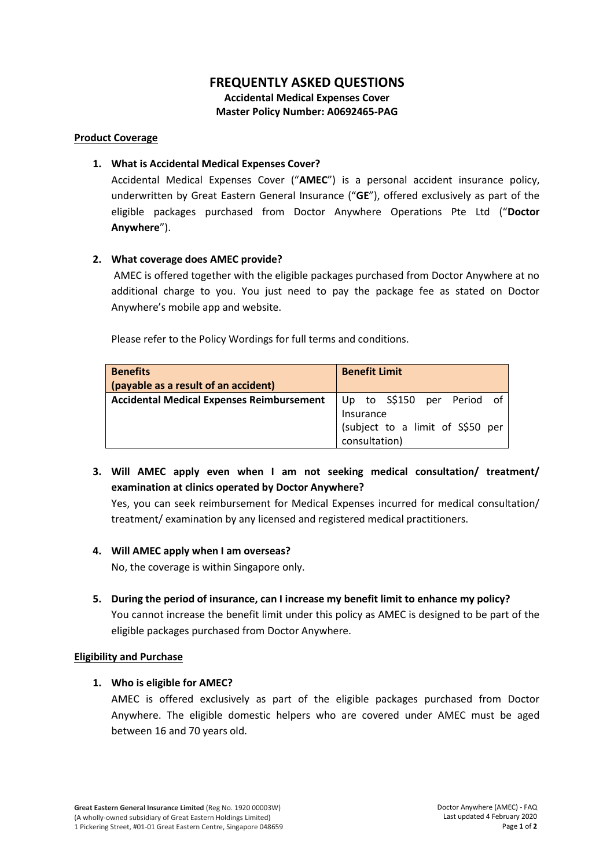# **FREQUENTLY ASKED QUESTIONS**

**Accidental Medical Expenses Cover Master Policy Number: A0692465-PAG**

#### **Product Coverage**

## **1. What is Accidental Medical Expenses Cover?**

Accidental Medical Expenses Cover ("**AMEC**") is a personal accident insurance policy, underwritten by Great Eastern General Insurance ("**GE**"), offered exclusively as part of the eligible packages purchased from Doctor Anywhere Operations Pte Ltd ("**Doctor Anywhere**").

# **2. What coverage does AMEC provide?**

AMEC is offered together with the eligible packages purchased from Doctor Anywhere at no additional charge to you. You just need to pay the package fee as stated on Doctor Anywhere's mobile app and website.

Please refer to the Policy Wordings for full terms and conditions.

| <b>Benefits</b><br>(payable as a result of an accident) | <b>Benefit Limit</b>                                                                         |
|---------------------------------------------------------|----------------------------------------------------------------------------------------------|
| <b>Accidental Medical Expenses Reimbursement</b>        | Up to S\$150 per Period of<br>Insurance<br>(subject to a limit of S\$50 per<br>consultation) |

**3. Will AMEC apply even when I am not seeking medical consultation/ treatment/ examination at clinics operated by Doctor Anywhere?**

Yes, you can seek reimbursement for Medical Expenses incurred for medical consultation/ treatment/ examination by any licensed and registered medical practitioners.

### **4. Will AMEC apply when I am overseas?**

No, the coverage is within Singapore only.

**5. During the period of insurance, can I increase my benefit limit to enhance my policy?** You cannot increase the benefit limit under this policy as AMEC is designed to be part of the eligible packages purchased from Doctor Anywhere.

### **Eligibility and Purchase**

### **1. Who is eligible for AMEC?**

AMEC is offered exclusively as part of the eligible packages purchased from Doctor Anywhere. The eligible domestic helpers who are covered under AMEC must be aged between 16 and 70 years old.